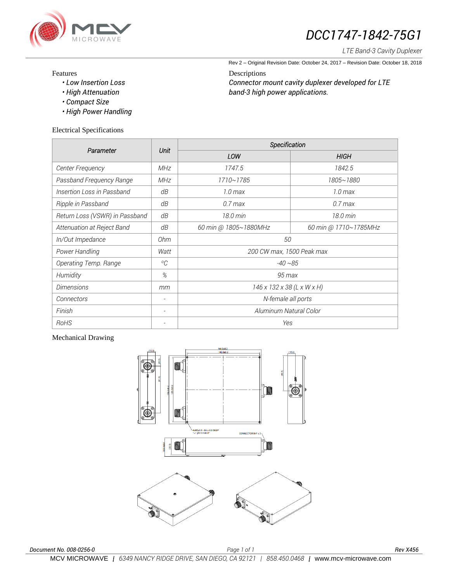

# *DCC1747-1842-75G1*

*LTE Band-3 Cavity Duplexer*

Rev 2 – Original Revision Date: October 24, 2017 – Revision Date: October 18, 2018

#### Features

*• Low Insertion Loss*

*Connector mount cavity duplexer developed for LTE band-3 high power applications.*

Descriptions

- *High Attenuation • Compact Size*
- 
- *High Power Handling*

## Electrical Specifications

| Parameter                      | <b>Unit</b>         | Specification              |                       |
|--------------------------------|---------------------|----------------------------|-----------------------|
|                                |                     | LOW                        | HIGH                  |
| <b>Center Frequency</b>        | <b>MHz</b>          | 1747.5                     | 1842.5                |
| Passband Frequency Range       | <b>MHz</b>          | 1710~1785                  | 1805~1880             |
| Insertion Loss in Passband     | dB                  | 1.0 <sub>max</sub>         | 1.0 <sub>max</sub>    |
| Ripple in Passband             | dΒ                  | $0.7$ max                  | $0.7$ max             |
| Return Loss (VSWR) in Passband | dΒ                  | 18.0 min                   | $18.0 \,\mathrm{min}$ |
| Attenuation at Reject Band     | dB                  | 60 min @ 1805~1880MHz      | 60 min @ 1710~1785MHz |
| In/Out Impedance               | 0hm                 | 50                         |                       |
| Power Handling                 | Watt                | 200 CW max, 1500 Peak max  |                       |
| Operating Temp. Range          | ${}^{\circ}C$       | $-40 - 85$                 |                       |
| Humidity                       | %                   | $95 \, \text{max}$         |                       |
| <b>Dimensions</b>              | mm                  | 146 x 132 x 38 (L x W x H) |                       |
| Connectors                     | $\bar{\phantom{a}}$ | N-female all ports         |                       |
| Finish                         |                     | Aluminum Natural Color     |                       |
| RoHS                           |                     | Yes                        |                       |

### Mechanical Drawing